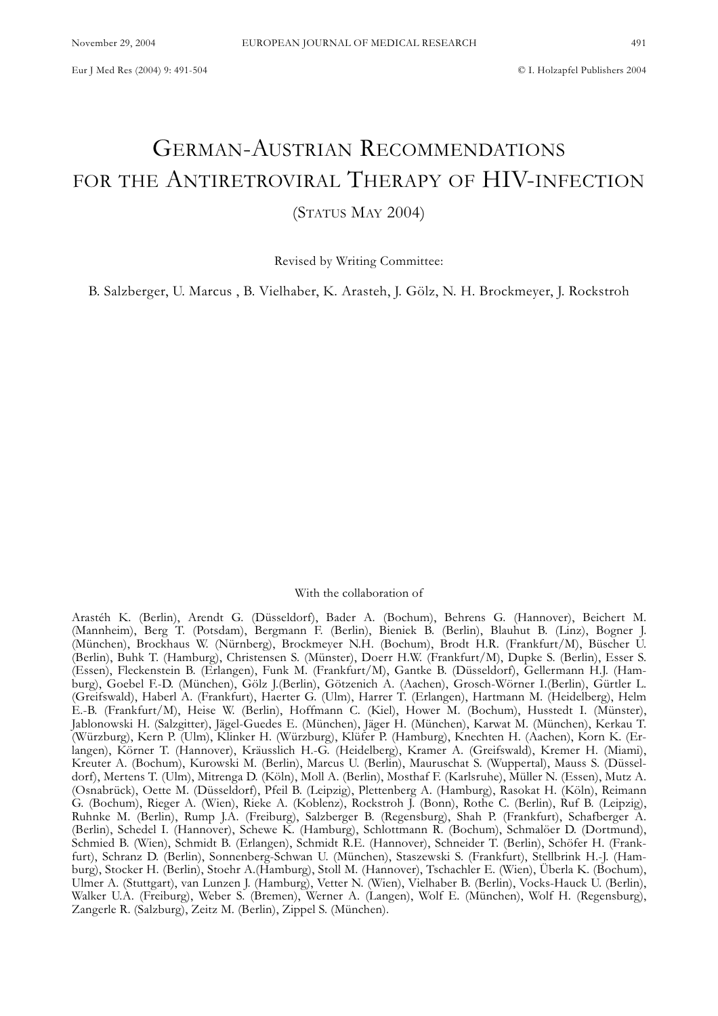Eur J Med Res (2004) 9: 491-504 © I. Holzapfel Publishers 2004

# GERMAN-AUSTRIAN RECOMMENDATIONS FOR THE ANTIRETROVIRAL THERAPY OF HIV-INFECTION (STATUS MAY 2004)

Revised by Writing Committee:

B. Salzberger, U. Marcus , B. Vielhaber, K. Arasteh, J. Gölz, N. H. Brockmeyer, J. Rockstroh

# With the collaboration of

Arastéh K. (Berlin), Arendt G. (Düsseldorf), Bader A. (Bochum), Behrens G. (Hannover), Beichert M. (Mannheim), Berg T. (Potsdam), Bergmann F. (Berlin), Bieniek B. (Berlin), Blauhut B. (Linz), Bogner J. (München), Brockhaus W. (Nürnberg), Brockmeyer N.H. (Bochum), Brodt H.R. (Frankfurt/M), Büscher U. (Berlin), Buhk T. (Hamburg), Christensen S. (Münster), Doerr H.W. (Frankfurt/M), Dupke S. (Berlin), Esser S. (Essen), Fleckenstein B. (Erlangen), Funk M. (Frankfurt/M), Gantke B. (Düsseldorf), Gellermann H.J. (Hamburg), Goebel F.-D. (München), Gölz J.(Berlin), Götzenich A. (Aachen), Grosch-Wörner I.(Berlin), Gürtler L. (Greifswald), Haberl A. (Frankfurt), Haerter G. (Ulm), Harrer T. (Erlangen), Hartmann M. (Heidelberg), Helm E.-B. (Frankfurt/M), Heise W. (Berlin), Hoffmann C. (Kiel), Hower M. (Bochum), Husstedt I. (Münster), Jablonowski H. (Salzgitter), Jägel-Guedes E. (München), Jäger H. (München), Karwat M. (München), Kerkau T. (Würzburg), Kern P. (Ulm), Klinker H. (Würzburg), Klüfer P. (Hamburg), Knechten H. (Aachen), Korn K. (Erlangen), Körner T. (Hannover), Kräusslich H.-G. (Heidelberg), Kramer A. (Greifswald), Kremer H. (Miami), Kreuter A. (Bochum), Kurowski M. (Berlin), Marcus U. (Berlin), Mauruschat S. (Wuppertal), Mauss S. (Düsseldorf), Mertens T. (Ulm), Mitrenga D. (Köln), Moll A. (Berlin), Mosthaf F. (Karlsruhe), Müller N. (Essen), Mutz A. (Osnabrück), Oette M. (Düsseldorf), Pfeil B. (Leipzig), Plettenberg A. (Hamburg), Rasokat H. (Köln), Reimann G. (Bochum), Rieger A. (Wien), Rieke A. (Koblenz), Rockstroh J. (Bonn), Rothe C. (Berlin), Ruf B. (Leipzig), Ruhnke M. (Berlin), Rump J.A. (Freiburg), Salzberger B. (Regensburg), Shah P. (Frankfurt), Schafberger A. (Berlin), Schedel I. (Hannover), Schewe K. (Hamburg), Schlottmann R. (Bochum), Schmalöer D. (Dortmund), Schmied B. (Wien), Schmidt B. (Erlangen), Schmidt R.E. (Hannover), Schneider T. (Berlin), Schöfer H. (Frankfurt), Schranz D. (Berlin), Sonnenberg-Schwan U. (München), Staszewski S. (Frankfurt), Stellbrink H.-J. (Hamburg), Stocker H. (Berlin), Stoehr A.(Hamburg), Stoll M. (Hannover), Tschachler E. (Wien), Überla K. (Bochum), Ulmer A. (Stuttgart), van Lunzen J. (Hamburg), Vetter N. (Wien), Vielhaber B. (Berlin), Vocks-Hauck U. (Berlin), Walker U.A. (Freiburg), Weber S. (Bremen), Werner A. (Langen), Wolf E. (München), Wolf H. (Regensburg), Zangerle R. (Salzburg), Zeitz M. (Berlin), Zippel S. (München).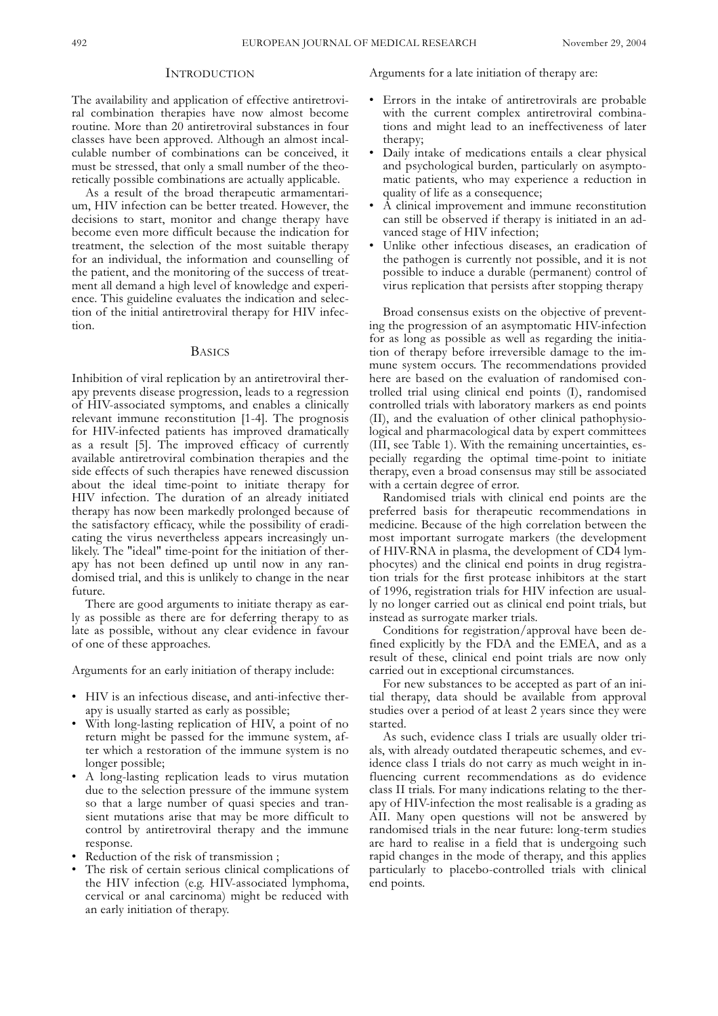# **INTRODUCTION**

The availability and application of effective antiretroviral combination therapies have now almost become routine. More than 20 antiretroviral substances in four classes have been approved. Although an almost incalculable number of combinations can be conceived, it must be stressed, that only a small number of the theoretically possible combinations are actually applicable.

As a result of the broad therapeutic armamentarium, HIV infection can be better treated. However, the decisions to start, monitor and change therapy have become even more difficult because the indication for treatment, the selection of the most suitable therapy for an individual, the information and counselling of the patient, and the monitoring of the success of treatment all demand a high level of knowledge and experience. This guideline evaluates the indication and selection of the initial antiretroviral therapy for HIV infection.

# **BASICS**

Inhibition of viral replication by an antiretroviral therapy prevents disease progression, leads to a regression of HIV-associated symptoms, and enables a clinically relevant immune reconstitution [1-4]. The prognosis for HIV-infected patients has improved dramatically as a result [5]. The improved efficacy of currently available antiretroviral combination therapies and the side effects of such therapies have renewed discussion about the ideal time-point to initiate therapy for HIV infection. The duration of an already initiated therapy has now been markedly prolonged because of the satisfactory efficacy, while the possibility of eradicating the virus nevertheless appears increasingly unlikely. The "ideal" time-point for the initiation of therapy has not been defined up until now in any randomised trial, and this is unlikely to change in the near future.

There are good arguments to initiate therapy as early as possible as there are for deferring therapy to as late as possible, without any clear evidence in favour of one of these approaches.

Arguments for an early initiation of therapy include:

- HIV is an infectious disease, and anti-infective therapy is usually started as early as possible;
- With long-lasting replication of HIV, a point of no return might be passed for the immune system, after which a restoration of the immune system is no longer possible;
- A long-lasting replication leads to virus mutation due to the selection pressure of the immune system so that a large number of quasi species and transient mutations arise that may be more difficult to control by antiretroviral therapy and the immune response.
- Reduction of the risk of transmission;
- The risk of certain serious clinical complications of the HIV infection (e.g. HIV-associated lymphoma, cervical or anal carcinoma) might be reduced with an early initiation of therapy.

Arguments for a late initiation of therapy are:

- Errors in the intake of antiretrovirals are probable with the current complex antiretroviral combinations and might lead to an ineffectiveness of later therapy;
- Daily intake of medications entails a clear physical and psychological burden, particularly on asymptomatic patients, who may experience a reduction in quality of life as a consequence;
- A clinical improvement and immune reconstitution can still be observed if therapy is initiated in an advanced stage of HIV infection;
- Unlike other infectious diseases, an eradication of the pathogen is currently not possible, and it is not possible to induce a durable (permanent) control of virus replication that persists after stopping therapy

Broad consensus exists on the objective of preventing the progression of an asymptomatic HIV-infection for as long as possible as well as regarding the initiation of therapy before irreversible damage to the immune system occurs. The recommendations provided here are based on the evaluation of randomised controlled trial using clinical end points (I), randomised controlled trials with laboratory markers as end points (II), and the evaluation of other clinical pathophysiological and pharmacological data by expert committees (III, see Table 1). With the remaining uncertainties, especially regarding the optimal time-point to initiate therapy, even a broad consensus may still be associated with a certain degree of error.

Randomised trials with clinical end points are the preferred basis for therapeutic recommendations in medicine. Because of the high correlation between the most important surrogate markers (the development of HIV-RNA in plasma, the development of CD4 lymphocytes) and the clinical end points in drug registration trials for the first protease inhibitors at the start of 1996, registration trials for HIV infection are usually no longer carried out as clinical end point trials, but instead as surrogate marker trials.

Conditions for registration/approval have been defined explicitly by the FDA and the EMEA, and as a result of these, clinical end point trials are now only carried out in exceptional circumstances.

For new substances to be accepted as part of an initial therapy, data should be available from approval studies over a period of at least 2 years since they were started.

As such, evidence class I trials are usually older trials, with already outdated therapeutic schemes, and evidence class I trials do not carry as much weight in influencing current recommendations as do evidence class II trials. For many indications relating to the therapy of HIV-infection the most realisable is a grading as AII. Many open questions will not be answered by randomised trials in the near future: long-term studies are hard to realise in a field that is undergoing such rapid changes in the mode of therapy, and this applies particularly to placebo-controlled trials with clinical end points.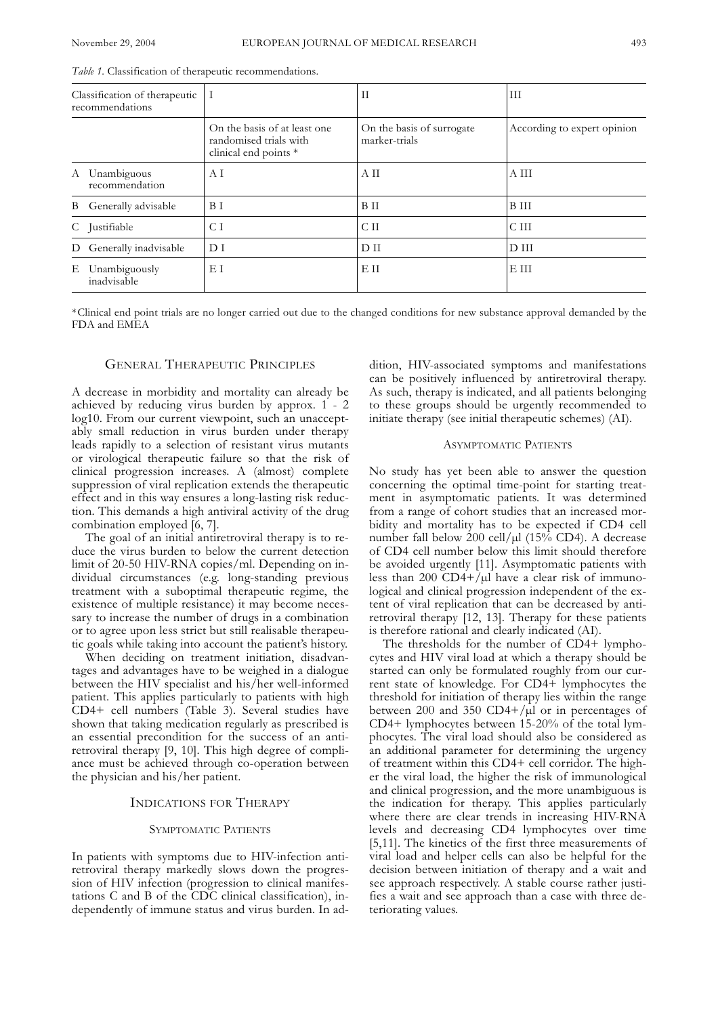*Table 1.* Classification of therapeutic recommendations.

| Classification of therapeutic<br>recommendations |                               | Ι                                                                               | $_{\rm II}$                                | Ш                           |  |
|--------------------------------------------------|-------------------------------|---------------------------------------------------------------------------------|--------------------------------------------|-----------------------------|--|
|                                                  |                               | On the basis of at least one<br>randomised trials with<br>clinical end points * | On the basis of surrogate<br>marker-trials | According to expert opinion |  |
| A                                                | Unambiguous<br>recommendation | ΑI                                                                              | АII                                        | A III                       |  |
|                                                  | B Generally advisable         | B I                                                                             | B II                                       | <b>B</b> III                |  |
|                                                  | C Justifiable                 | C I                                                                             | C II                                       | C III                       |  |
| D.                                               | Generally inadvisable         | DI                                                                              | D <sub>H</sub>                             | $D$ III                     |  |
| Ε                                                | Unambiguously<br>inadvisable  | ΕI                                                                              | ЕII                                        | E III                       |  |

\*Clinical end point trials are no longer carried out due to the changed conditions for new substance approval demanded by the FDA and EMEA

## GENERAL THERAPEUTIC PRINCIPLES

A decrease in morbidity and mortality can already be achieved by reducing virus burden by approx. 1 - 2 log10. From our current viewpoint, such an unacceptably small reduction in virus burden under therapy leads rapidly to a selection of resistant virus mutants or virological therapeutic failure so that the risk of clinical progression increases. A (almost) complete suppression of viral replication extends the therapeutic effect and in this way ensures a long-lasting risk reduction. This demands a high antiviral activity of the drug combination employed [6, 7].

The goal of an initial antiretroviral therapy is to reduce the virus burden to below the current detection limit of 20-50 HIV-RNA copies/ml. Depending on individual circumstances (e.g. long-standing previous treatment with a suboptimal therapeutic regime, the existence of multiple resistance) it may become necessary to increase the number of drugs in a combination or to agree upon less strict but still realisable therapeutic goals while taking into account the patient's history.

When deciding on treatment initiation, disadvantages and advantages have to be weighed in a dialogue between the HIV specialist and his/her well-informed patient. This applies particularly to patients with high CD4+ cell numbers (Table 3). Several studies have shown that taking medication regularly as prescribed is an essential precondition for the success of an antiretroviral therapy [9, 10]. This high degree of compliance must be achieved through co-operation between the physician and his/her patient.

# INDICATIONS FOR THERAPY

# SYMPTOMATIC PATIENTS

In patients with symptoms due to HIV-infection antiretroviral therapy markedly slows down the progression of HIV infection (progression to clinical manifestations C and B of the CDC clinical classification), independently of immune status and virus burden. In addition, HIV-associated symptoms and manifestations can be positively influenced by antiretroviral therapy. As such, therapy is indicated, and all patients belonging to these groups should be urgently recommended to initiate therapy (see initial therapeutic schemes) (AI).

# ASYMPTOMATIC PATIENTS

No study has yet been able to answer the question concerning the optimal time-point for starting treatment in asymptomatic patients. It was determined from a range of cohort studies that an increased morbidity and mortality has to be expected if CD4 cell number fall below 200 cell/ $\mu$ l (15% CD4). A decrease of CD4 cell number below this limit should therefore be avoided urgently [11]. Asymptomatic patients with less than 200 CD4+/ $\mu$ l have a clear risk of immunological and clinical progression independent of the extent of viral replication that can be decreased by antiretroviral therapy [12, 13]. Therapy for these patients is therefore rational and clearly indicated (AI).

The thresholds for the number of CD4+ lymphocytes and HIV viral load at which a therapy should be started can only be formulated roughly from our current state of knowledge. For CD4+ lymphocytes the threshold for initiation of therapy lies within the range between 200 and 350 CD4+/ $\mu$ l or in percentages of CD4+ lymphocytes between 15-20% of the total lymphocytes. The viral load should also be considered as an additional parameter for determining the urgency of treatment within this CD4+ cell corridor. The higher the viral load, the higher the risk of immunological and clinical progression, and the more unambiguous is the indication for therapy. This applies particularly where there are clear trends in increasing HIV-RNA levels and decreasing CD4 lymphocytes over time [5,11]. The kinetics of the first three measurements of viral load and helper cells can also be helpful for the decision between initiation of therapy and a wait and see approach respectively. A stable course rather justifies a wait and see approach than a case with three deteriorating values.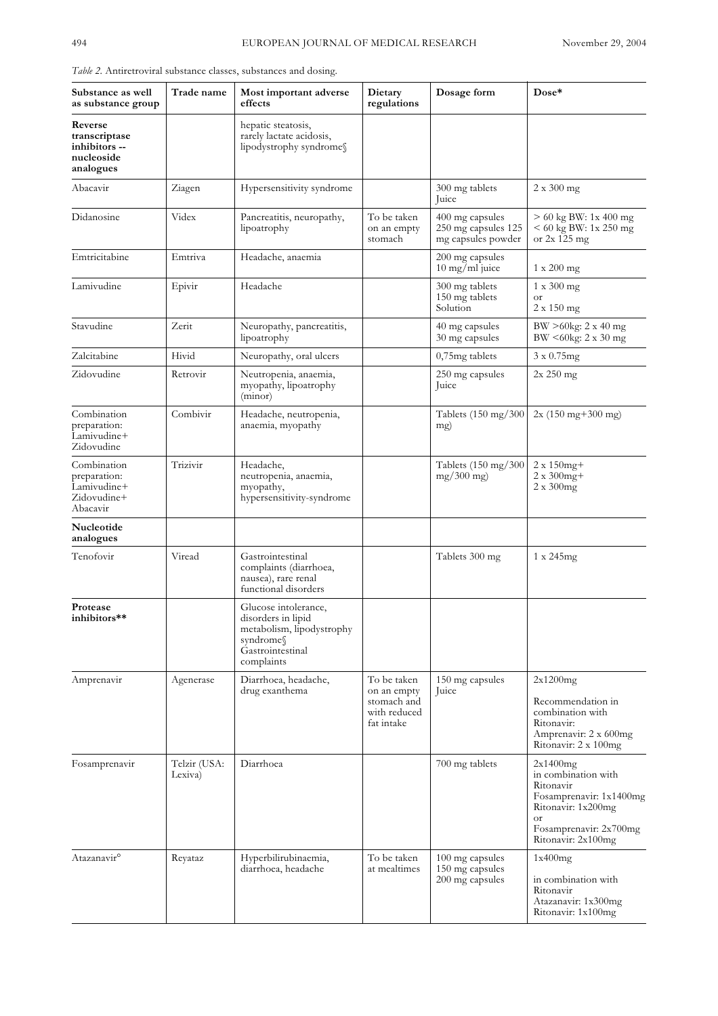|  |  |  |  |  |  | Table 2. Antiretroviral substance classes, substances and dosing. |  |  |
|--|--|--|--|--|--|-------------------------------------------------------------------|--|--|
|--|--|--|--|--|--|-------------------------------------------------------------------|--|--|

| Substance as well<br>as substance group                               | Trade name              | Most important adverse<br>effects                                                                                      | Dietary<br>regulations                                                  | Dosage form                                                  | $Dose*$                                                                                                                                                    |
|-----------------------------------------------------------------------|-------------------------|------------------------------------------------------------------------------------------------------------------------|-------------------------------------------------------------------------|--------------------------------------------------------------|------------------------------------------------------------------------------------------------------------------------------------------------------------|
| Reverse<br>transcriptase<br>inhibitors --<br>nucleoside<br>analogues  |                         | hepatic steatosis,<br>rarely lactate acidosis,<br>lipodystrophy syndromes                                              |                                                                         |                                                              |                                                                                                                                                            |
| Abacavir                                                              | Ziagen                  | Hypersensitivity syndrome                                                                                              |                                                                         | 300 mg tablets<br>Juice                                      | $2 \times 300$ mg                                                                                                                                          |
| Didanosine                                                            | Videx                   | Pancreatitis, neuropathy,<br>lipoatrophy                                                                               | To be taken<br>on an empty<br>stomach                                   | 400 mg capsules<br>250 mg capsules 125<br>mg capsules powder | $> 60 \text{ kg BW: } 1x400 \text{ mg}$<br>$< 60 \text{ kg BW: } 1x250 \text{ mg}$<br>or 2x 125 mg                                                         |
| Emtricitabine                                                         | Emtriva                 | Headache, anaemia                                                                                                      |                                                                         | 200 mg capsules<br>$10 \text{ mg/ml}$ juice                  | $1 \times 200$ mg                                                                                                                                          |
| Lamivudine                                                            | Epivir                  | Headache                                                                                                               |                                                                         | 300 mg tablets<br>150 mg tablets<br>Solution                 | $1 \times 300$ mg<br>or<br>$2 \times 150$ mg                                                                                                               |
| Stavudine                                                             | Zerit                   | Neuropathy, pancreatitis,<br>lipoatrophy                                                                               |                                                                         | 40 mg capsules<br>30 mg capsules                             | $BW > 60kg$ : 2 x 40 mg<br>BW <60kg: 2 x 30 mg                                                                                                             |
| Zalcitabine                                                           | Hivid                   | Neuropathy, oral ulcers                                                                                                |                                                                         | $0,75$ mg tablets                                            | $3 \times 0.75$ mg                                                                                                                                         |
| Zidovudine                                                            | Retrovir                | Neutropenia, anaemia,<br>myopathy, lipoatrophy<br>(minor)                                                              |                                                                         | 250 mg capsules<br>Juice                                     | 2x 250 mg                                                                                                                                                  |
| Combination<br>preparation:<br>Lamivudine+<br>Zidovudine              | Combivir                | Headache, neutropenia,<br>anaemia, myopathy                                                                            |                                                                         | Tablets $(150 \text{ mg}/300)$<br>mg)                        | $2x(150 \text{ mg}+300 \text{ mg})$                                                                                                                        |
| Combination<br>preparation:<br>Lamivudine+<br>Zidovudine+<br>Abacavir | Trizivir                | Headache,<br>neutropenia, anaemia,<br>myopathy,<br>hypersensitivity-syndrome                                           |                                                                         | Tablets $(150 \text{ mg}/300$<br>$mg/300$ mg)                | $2 \times 150$ mg +<br>$2 x 300$ mg+<br>$2 \times 300$ mg                                                                                                  |
| Nucleotide<br>analogues                                               |                         |                                                                                                                        |                                                                         |                                                              |                                                                                                                                                            |
| Tenofovir                                                             | Viread                  | Gastrointestinal<br>complaints (diarrhoea,<br>nausea), rare renal<br>functional disorders                              |                                                                         | Tablets 300 mg                                               | $1 \times 245$ mg                                                                                                                                          |
| Protease<br>inhibitors**                                              |                         | Glucose intolerance,<br>disorders in lipid<br>metabolism, lipodystrophy<br>syndrome∖<br>Gastrointestinal<br>complaints |                                                                         |                                                              |                                                                                                                                                            |
| Amprenavir                                                            | Agenerase               | Diarrhoea, headache,<br>drug exanthema                                                                                 | To be taken<br>on an empty<br>stomach and<br>with reduced<br>fat intake | 150 mg capsules<br>Juice                                     | 2x1200mg<br>Recommendation in<br>combination with<br>Ritonavir:<br>Amprenavir: 2 x 600mg<br>Ritonavir: 2 x 100mg                                           |
| Fosamprenavir                                                         | Telzir (USA:<br>Lexiva) | Diarrhoea                                                                                                              |                                                                         | 700 mg tablets                                               | 2x1400mg<br>in combination with<br>Ritonavir<br>Fosamprenavir: 1x1400mg<br>Ritonavir: 1x200mg<br><b>or</b><br>Fosamprenavir: 2x700mg<br>Ritonavir: 2x100mg |
| Atazanavir <sup>o</sup>                                               | Reyataz                 | Hyperbilirubinaemia,<br>diarrhoea, headache                                                                            | To be taken<br>at mealtimes                                             | 100 mg capsules<br>150 mg capsules<br>200 mg capsules        | 1x400mg<br>in combination with<br>Ritonavir<br>Atazanavir: 1x300mg<br>Ritonavir: 1x100mg                                                                   |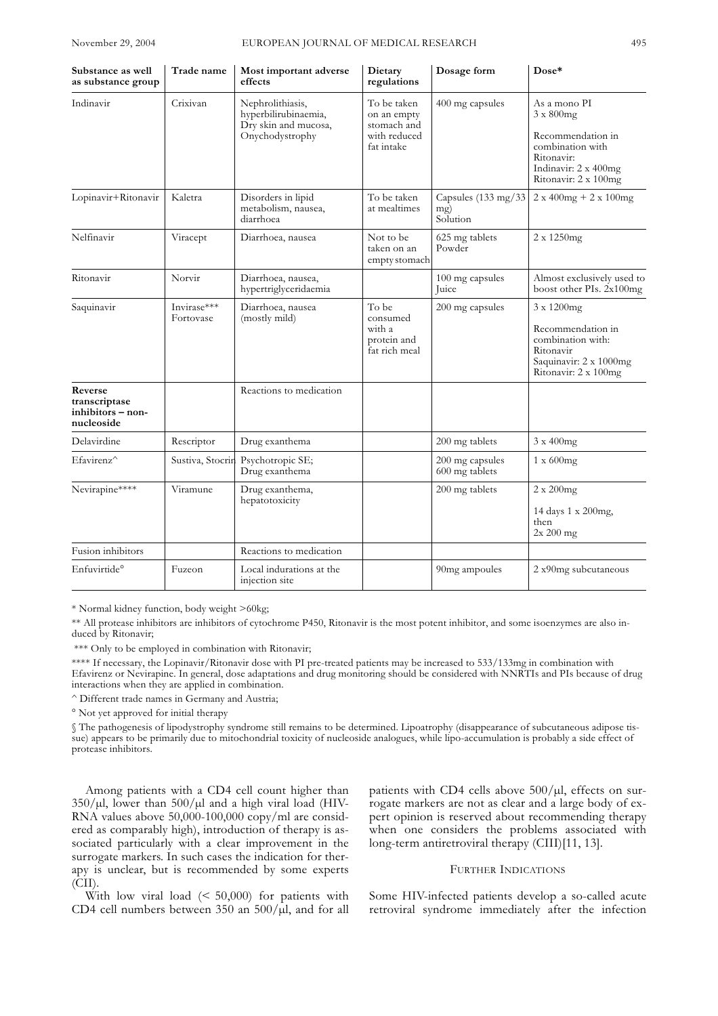| Substance as well<br>as substance group                     | Trade name               | Most important adverse<br>effects                                                   | Dietary<br>regulations                                                  | Dosage form                            | Dose*                                                                                                                                    |
|-------------------------------------------------------------|--------------------------|-------------------------------------------------------------------------------------|-------------------------------------------------------------------------|----------------------------------------|------------------------------------------------------------------------------------------------------------------------------------------|
| Indinavir                                                   | Crixivan                 | Nephrolithiasis,<br>hyperbilirubinaemia,<br>Dry skin and mucosa,<br>Onychodystrophy | To be taken<br>on an empty<br>stomach and<br>with reduced<br>fat intake | 400 mg capsules                        | As a mono PI<br>$3 \times 800$ mg<br>Recommendation in<br>combination with<br>Ritonavir:<br>Indinavir: 2 x 400mg<br>Ritonavir: 2 x 100mg |
| Kaletra<br>Lopinavir+Ritonavir                              |                          | Disorders in lipid<br>metabolism, nausea,<br>diarrhoea                              | To be taken<br>at mealtimes                                             | Capsules (133 mg/33<br>mg)<br>Solution | $2 \times 400$ mg + $2 \times 100$ mg                                                                                                    |
| Nelfinavir                                                  | Viracept                 | Diarrhoea, nausea                                                                   | Not to be<br>taken on an<br>empty stomach                               | 625 mg tablets<br>Powder               | $2 \times 1250$ mg                                                                                                                       |
| Ritonavir                                                   | Norvir                   | Diarrhoea, nausea,<br>hypertriglyceridaemia                                         |                                                                         | 100 mg capsules<br>Juice               | Almost exclusively used to<br>boost other PIs. 2x100mg                                                                                   |
| Saquinavir                                                  | Invirase***<br>Fortovase | Diarrhoea, nausea<br>(mostly mild)                                                  | To be<br>consumed<br>with a<br>protein and<br>fat rich meal             | 200 mg capsules                        | 3 x 1200mg<br>Recommendation in<br>combination with:<br>Ritonavir<br>Saquinavir: 2 x 1000mg<br>Ritonavir: 2 x 100mg                      |
| Reverse<br>transcriptase<br>inhibitors - non-<br>nucleoside |                          | Reactions to medication                                                             |                                                                         |                                        |                                                                                                                                          |
| Delavirdine                                                 | Rescriptor               | Drug exanthema                                                                      |                                                                         | 200 mg tablets                         | $3 \times 400$ mg                                                                                                                        |
| Efavirenz^                                                  | Sustiva, Stocrin         | Psychotropic SE;<br>Drug exanthema                                                  |                                                                         | 200 mg capsules<br>600 mg tablets      | $1 \times 600$ mg                                                                                                                        |
| Nevirapine****                                              | Viramune                 | Drug exanthema,<br>hepatotoxicity                                                   |                                                                         | 200 mg tablets                         | $2 x 200$ mg<br>14 days 1 x 200mg,<br>then<br>$2x 200$ mg                                                                                |
| Fusion inhibitors                                           |                          | Reactions to medication                                                             |                                                                         |                                        |                                                                                                                                          |
| Enfuvirtide <sup>o</sup>                                    | Fuzeon                   | Local indurations at the<br>injection site                                          |                                                                         | 90mg ampoules                          | 2 x90mg subcutaneous                                                                                                                     |

\* Normal kidney function, body weight >60kg;

\*\* All protease inhibitors are inhibitors of cytochrome P450, Ritonavir is the most potent inhibitor, and some isoenzymes are also induced by Ritonavir;

\*\*\* Only to be employed in combination with Ritonavir;

\*\*\*\* If necessary, the Lopinavir/Ritonavir dose with PI pre-treated patients may be increased to 533/133mg in combination with Efavirenz or Nevirapine. In general, dose adaptations and drug monitoring should be considered with NNRTIs and PIs because of drug interactions when they are applied in combination.

^ Different trade names in Germany and Austria;

° Not yet approved for initial therapy

§ The pathogenesis of lipodystrophy syndrome still remains to be determined. Lipoatrophy (disappearance of subcutaneous adipose tissue) appears to be primarily due to mitochondrial toxicity of nucleoside analogues, while lipo-accumulation is probably a side effect of protease inhibitors.

Among patients with a CD4 cell count higher than  $350/\mu$ l, lower than  $500/\mu$ l and a high viral load (HIV-RNA values above 50,000-100,000 copy/ml are considered as comparably high), introduction of therapy is associated particularly with a clear improvement in the surrogate markers. In such cases the indication for therapy is unclear, but is recommended by some experts  $(CII)$ .

With low viral load (< 50,000) for patients with CD4 cell numbers between 350 an  $500/\mu l$ , and for all patients with CD4 cells above  $500/\mu l$ , effects on surrogate markers are not as clear and a large body of expert opinion is reserved about recommending therapy when one considers the problems associated with long-term antiretroviral therapy (CIII)[11, 13].

#### FURTHER INDICATIONS

Some HIV-infected patients develop a so-called acute retroviral syndrome immediately after the infection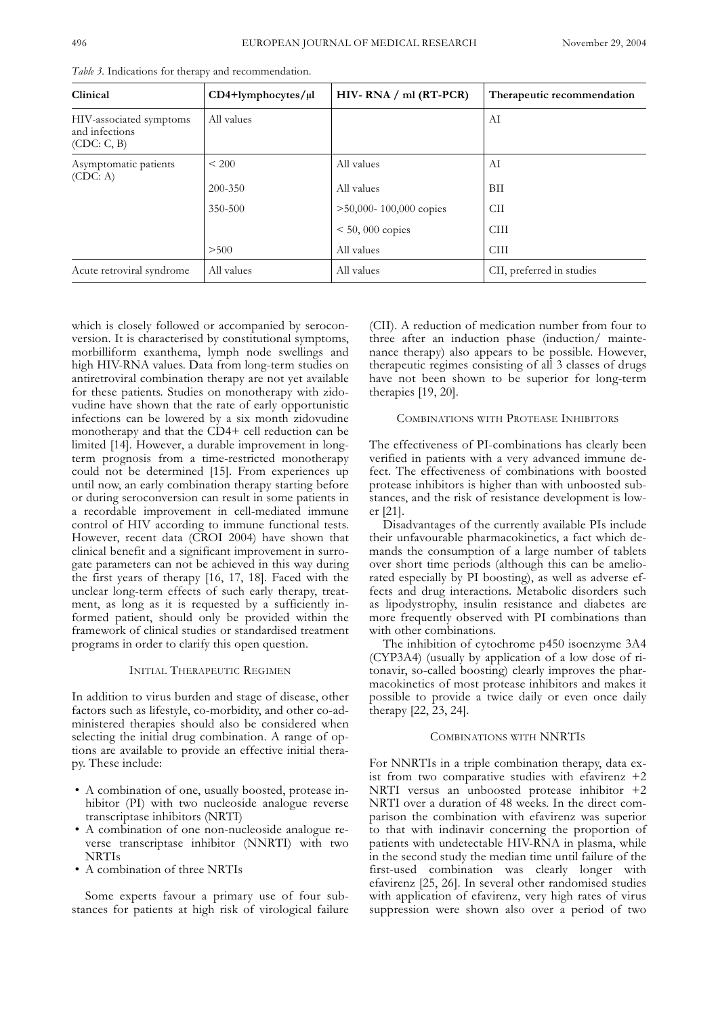*Table 3.* Indications for therapy and recommendation.

| Clinical                                                 | $CD4+lymphocytes/µ1$ | $HIV-RNA / ml (RT-PCR)$     | Therapeutic recommendation |
|----------------------------------------------------------|----------------------|-----------------------------|----------------------------|
| HIV-associated symptoms<br>and infections<br>(CDC: C, B) | All values           |                             | AI                         |
| Asymptomatic patients<br>(CDC: A)                        | ${}< 200$            | All values                  | AI                         |
|                                                          | 200-350              | All values                  | BII                        |
|                                                          | 350-500              | $> 50,000 - 100,000$ copies | <b>CII</b>                 |
|                                                          |                      | $< 50,000$ copies           | <b>CIII</b>                |
|                                                          | > 500                | All values                  | <b>CIII</b>                |
| Acute retroviral syndrome                                | All values           | All values                  | CII, preferred in studies  |

which is closely followed or accompanied by seroconversion. It is characterised by constitutional symptoms, morbilliform exanthema, lymph node swellings and high HIV-RNA values. Data from long-term studies on antiretroviral combination therapy are not yet available for these patients. Studies on monotherapy with zidovudine have shown that the rate of early opportunistic infections can be lowered by a six month zidovudine monotherapy and that the CD4+ cell reduction can be limited [14]. However, a durable improvement in longterm prognosis from a time-restricted monotherapy could not be determined [15]. From experiences up until now, an early combination therapy starting before or during seroconversion can result in some patients in a recordable improvement in cell-mediated immune control of HIV according to immune functional tests. However, recent data (CROI 2004) have shown that clinical benefit and a significant improvement in surrogate parameters can not be achieved in this way during the first years of therapy [16, 17, 18]. Faced with the unclear long-term effects of such early therapy, treatment, as long as it is requested by a sufficiently informed patient, should only be provided within the framework of clinical studies or standardised treatment programs in order to clarify this open question.

# INITIAL THERAPEUTIC REGIMEN

In addition to virus burden and stage of disease, other factors such as lifestyle, co-morbidity, and other co-administered therapies should also be considered when selecting the initial drug combination. A range of options are available to provide an effective initial therapy. These include:

- A combination of one, usually boosted, protease inhibitor (PI) with two nucleoside analogue reverse transcriptase inhibitors (NRTI)
- A combination of one non-nucleoside analogue reverse transcriptase inhibitor (NNRTI) with two NRTIs
- A combination of three NRTIs

Some experts favour a primary use of four substances for patients at high risk of virological failure (CII). A reduction of medication number from four to three after an induction phase (induction/ maintenance therapy) also appears to be possible. However, therapeutic regimes consisting of all 3 classes of drugs have not been shown to be superior for long-term therapies [19, 20].

#### COMBINATIONS WITH PROTEASE INHIBITORS

The effectiveness of PI-combinations has clearly been verified in patients with a very advanced immune defect. The effectiveness of combinations with boosted protease inhibitors is higher than with unboosted substances, and the risk of resistance development is lower [21].

Disadvantages of the currently available PIs include their unfavourable pharmacokinetics, a fact which demands the consumption of a large number of tablets over short time periods (although this can be ameliorated especially by PI boosting), as well as adverse effects and drug interactions. Metabolic disorders such as lipodystrophy, insulin resistance and diabetes are more frequently observed with PI combinations than with other combinations.

The inhibition of cytochrome p450 isoenzyme 3A4 (CYP3A4) (usually by application of a low dose of ritonavir, so-called boosting) clearly improves the pharmacokinetics of most protease inhibitors and makes it possible to provide a twice daily or even once daily therapy [22, 23, 24].

#### COMBINATIONS WITH NNRTIS

For NNRTIs in a triple combination therapy, data exist from two comparative studies with efavirenz  $+2$ NRTI versus an unboosted protease inhibitor +2 NRTI over a duration of 48 weeks. In the direct comparison the combination with efavirenz was superior to that with indinavir concerning the proportion of patients with undetectable HIV-RNA in plasma, while in the second study the median time until failure of the first-used combination was clearly longer with efavirenz [25, 26]. In several other randomised studies with application of efavirenz, very high rates of virus suppression were shown also over a period of two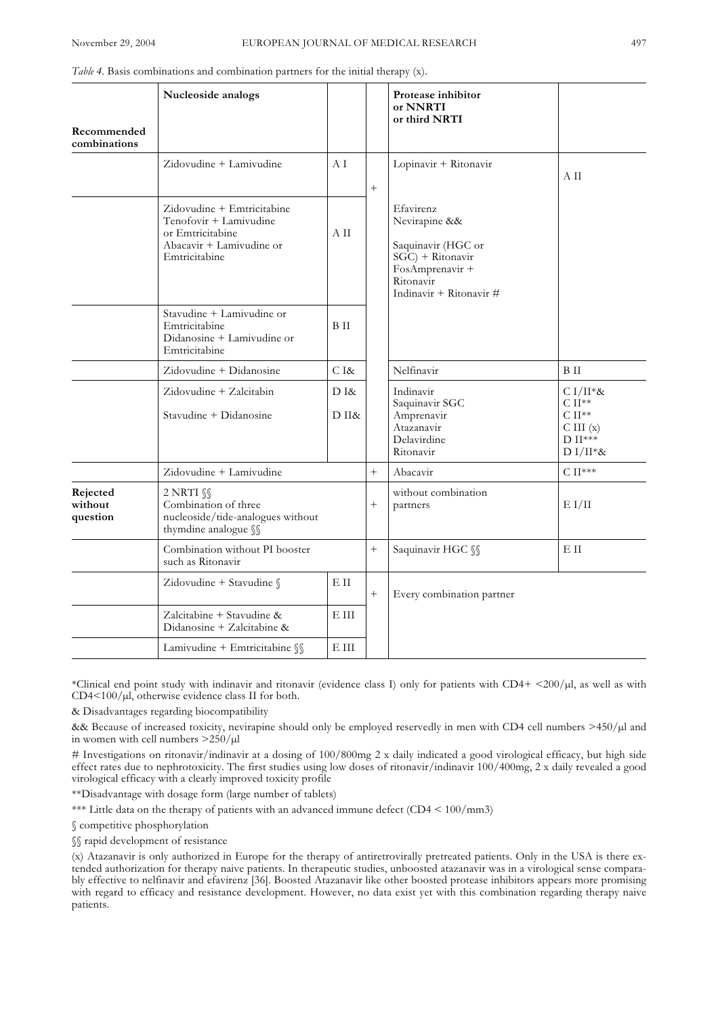| Recommended<br>combinations     | Nucleoside analogs                                                                                                    |                  |        | Protease inhibitor<br>or NNRTI<br>or third NRTI                                                                                    |                                                                                                             |
|---------------------------------|-----------------------------------------------------------------------------------------------------------------------|------------------|--------|------------------------------------------------------------------------------------------------------------------------------------|-------------------------------------------------------------------------------------------------------------|
|                                 | Zidovudine + Lamivudine                                                                                               | A <sub>I</sub>   | $^{+}$ | Lopinavir + Ritonavir                                                                                                              | A II                                                                                                        |
|                                 | Zidovudine + Emtricitabine<br>Tenofovir + Lamivudine<br>or Emtricitabine<br>Abacavir + Lamivudine or<br>Emtricitabine | A II             |        | Efavirenz<br>Nevirapine &&<br>Saquinavir (HGC or<br>$SGC$ ) + Ritonavir<br>FosAmprenavir +<br>Ritonavir<br>Indinavir + Ritonavir # |                                                                                                             |
|                                 | Stavudine + Lamivudine or<br>Emtricitabine<br>Didanosine + Lamivudine or<br>Emtricitabine                             | <b>B</b> II      |        |                                                                                                                                    |                                                                                                             |
|                                 | Zidovudine + Didanosine                                                                                               | $C I\&$          |        | Nelfinavir                                                                                                                         | <b>BII</b>                                                                                                  |
|                                 | Zidovudine + Zalcitabin<br>Stavudine + Didanosine                                                                     | $D$ $R$<br>D II& |        | Indinavir<br>Saquinavir SGC<br>Amprenavir<br>Atazanavir<br>Delavirdine<br>Ritonavir                                                | $CI/II^*$ &<br>$\mathrm{C}\:\text{II}^{**}$<br>C II <sup>**</sup><br>C III (x)<br>$D II***$<br>$D I/II^*$ & |
|                                 | Zidovudine + Lamivudine                                                                                               |                  | $^{+}$ | Abacavir                                                                                                                           | $C II***$                                                                                                   |
| Rejected<br>without<br>question | $2$ NRTI $\S$<br>Combination of three<br>nucleoside/tide-analogues without<br>thymdine analogue SS                    |                  | $^{+}$ | without combination<br>partners                                                                                                    | E I/II                                                                                                      |
|                                 | Combination without PI booster<br>such as Ritonavir                                                                   |                  | $^{+}$ | Saquinavir HGC SS                                                                                                                  | E II                                                                                                        |
|                                 | Zidovudine + Stavudine §                                                                                              | $E$ II           | $+$    | Every combination partner                                                                                                          |                                                                                                             |
|                                 | Zalcitabine + Stavudine &<br>Didanosine + Zalcitabine &                                                               | $\to$ III        |        |                                                                                                                                    |                                                                                                             |
|                                 | Lamivudine + Emtricitabine SS                                                                                         | E III            |        |                                                                                                                                    |                                                                                                             |

*Table 4.* Basis combinations and combination partners for the initial therapy (x).

\*Clinical end point study with indinavir and ritonavir (evidence class I) only for patients with  $CD4+  $200/\mu l$ , as well as with$ CD4<100/µl, otherwise evidence class II for both.

& Disadvantages regarding biocompatibility

&& Because of increased toxicity, nevirapine should only be employed reservedly in men with CD4 cell numbers >450/µl and in women with cell numbers  $>250/\mu l$ 

# Investigations on ritonavir/indinavir at a dosing of 100/800mg 2 x daily indicated a good virological efficacy, but high side effect rates due to nephrotoxicity. The first studies using low doses of ritonavir/indinavir 100/400mg, 2 x daily revealed a good virological efficacy with a clearly improved toxicity profile

\*\*Disadvantage with dosage form (large number of tablets)

\*\*\* Little data on the therapy of patients with an advanced immune defect (CD4 < 100/mm3)

§ competitive phosphorylation

§§ rapid development of resistance

(x) Atazanavir is only authorized in Europe for the therapy of antiretrovirally pretreated patients. Only in the USA is there extended authorization for therapy naive patients. In therapeutic studies, unboosted atazanavir was in a virological sense comparably effective to nelfinavir and efavirenz [36]. Boosted Atazanavir like other boosted protease inhibitors appears more promising with regard to efficacy and resistance development. However, no data exist yet with this combination regarding therapy naive patients.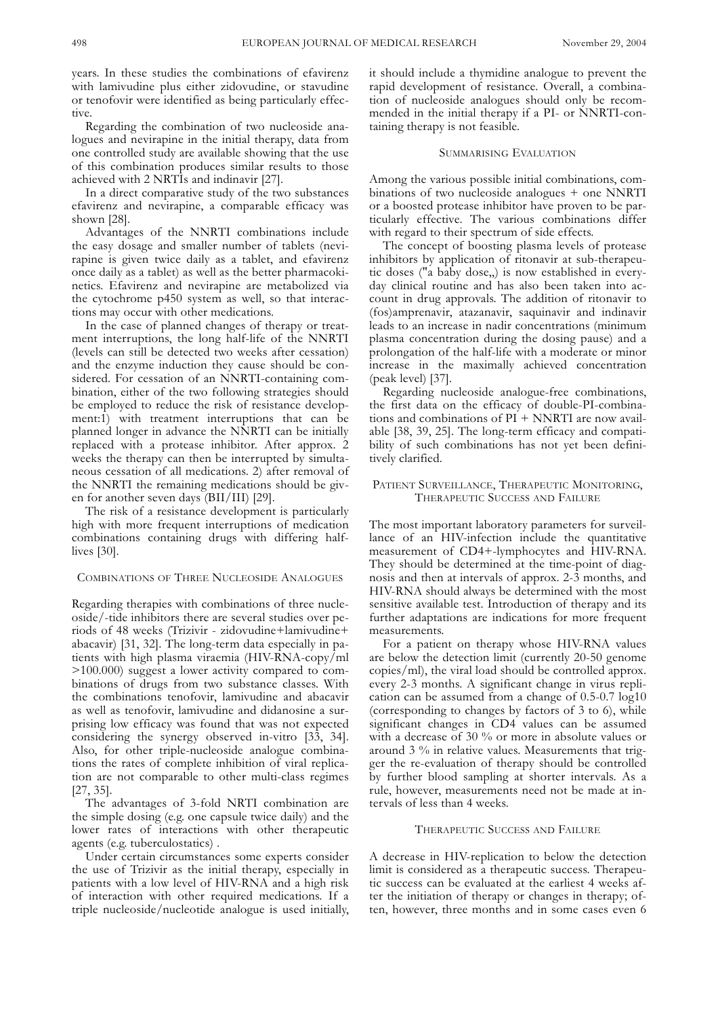years. In these studies the combinations of efavirenz with lamivudine plus either zidovudine, or stavudine or tenofovir were identified as being particularly effective.

Regarding the combination of two nucleoside analogues and nevirapine in the initial therapy, data from one controlled study are available showing that the use of this combination produces similar results to those achieved with 2 NRTIs and indinavir [27].

In a direct comparative study of the two substances efavirenz and nevirapine, a comparable efficacy was shown [28].

Advantages of the NNRTI combinations include the easy dosage and smaller number of tablets (nevirapine is given twice daily as a tablet, and efavirenz once daily as a tablet) as well as the better pharmacokinetics. Efavirenz and nevirapine are metabolized via the cytochrome p450 system as well, so that interactions may occur with other medications.

In the case of planned changes of therapy or treatment interruptions, the long half-life of the NNRTI (levels can still be detected two weeks after cessation) and the enzyme induction they cause should be considered. For cessation of an NNRTI-containing combination, either of the two following strategies should be employed to reduce the risk of resistance development:1) with treatment interruptions that can be planned longer in advance the NNRTI can be initially replaced with a protease inhibitor. After approx. 2 weeks the therapy can then be interrupted by simultaneous cessation of all medications. 2) after removal of the NNRTI the remaining medications should be given for another seven days (BII/III) [29].

The risk of a resistance development is particularly high with more frequent interruptions of medication combinations containing drugs with differing halflives [30].

#### COMBINATIONS OF THREE NUCLEOSIDE ANALOGUES

Regarding therapies with combinations of three nucleoside/-tide inhibitors there are several studies over periods of 48 weeks (Trizivir - zidovudine+lamivudine+ abacavir) [31, 32]. The long-term data especially in patients with high plasma viraemia (HIV-RNA-copy/ml >100.000) suggest a lower activity compared to combinations of drugs from two substance classes. With the combinations tenofovir, lamivudine and abacavir as well as tenofovir, lamivudine and didanosine a surprising low efficacy was found that was not expected considering the synergy observed in-vitro [33, 34]. Also, for other triple-nucleoside analogue combinations the rates of complete inhibition of viral replication are not comparable to other multi-class regimes [27, 35].

The advantages of 3-fold NRTI combination are the simple dosing (e.g. one capsule twice daily) and the lower rates of interactions with other therapeutic agents (e.g. tuberculostatics) .

Under certain circumstances some experts consider the use of Trizivir as the initial therapy, especially in patients with a low level of HIV-RNA and a high risk of interaction with other required medications. If a triple nucleoside/nucleotide analogue is used initially, it should include a thymidine analogue to prevent the rapid development of resistance. Overall, a combination of nucleoside analogues should only be recommended in the initial therapy if a PI- or NNRTI-containing therapy is not feasible.

# SUMMARISING EVALUATION

Among the various possible initial combinations, combinations of two nucleoside analogues + one NNRTI or a boosted protease inhibitor have proven to be particularly effective. The various combinations differ with regard to their spectrum of side effects.

The concept of boosting plasma levels of protease inhibitors by application of ritonavir at sub-therapeutic doses ("a baby dose,,) is now established in everyday clinical routine and has also been taken into account in drug approvals. The addition of ritonavir to (fos)amprenavir, atazanavir, saquinavir and indinavir leads to an increase in nadir concentrations (minimum plasma concentration during the dosing pause) and a prolongation of the half-life with a moderate or minor increase in the maximally achieved concentration (peak level) [37].

Regarding nucleoside analogue-free combinations, the first data on the efficacy of double-PI-combinations and combinations of  $PI + NNRTI$  are now available [38, 39, 25]. The long-term efficacy and compatibility of such combinations has not yet been definitively clarified.

# PATIENT SURVEILLANCE, THERAPEUTIC MONITORING, THERAPEUTIC SUCCESS AND FAILURE

The most important laboratory parameters for surveillance of an HIV-infection include the quantitative measurement of CD4+-lymphocytes and HIV-RNA. They should be determined at the time-point of diagnosis and then at intervals of approx. 2-3 months, and HIV-RNA should always be determined with the most sensitive available test. Introduction of therapy and its further adaptations are indications for more frequent measurements.

For a patient on therapy whose HIV-RNA values are below the detection limit (currently 20-50 genome copies/ml), the viral load should be controlled approx. every 2-3 months. A significant change in virus replication can be assumed from a change of 0.5-0.7 log10 (corresponding to changes by factors of 3 to 6), while significant changes in CD4 values can be assumed with a decrease of 30 % or more in absolute values or around 3 % in relative values. Measurements that trigger the re-evaluation of therapy should be controlled by further blood sampling at shorter intervals. As a rule, however, measurements need not be made at intervals of less than 4 weeks.

# THERAPEUTIC SUCCESS AND FAILURE

A decrease in HIV-replication to below the detection limit is considered as a therapeutic success. Therapeutic success can be evaluated at the earliest 4 weeks after the initiation of therapy or changes in therapy; often, however, three months and in some cases even 6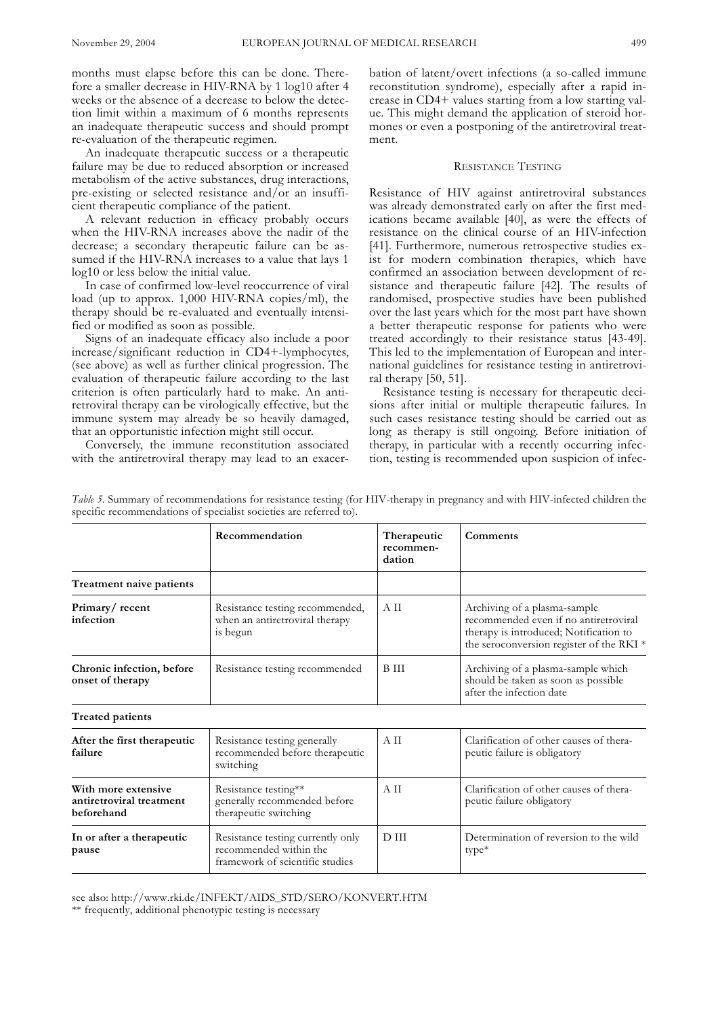months must elapse before this can be done. Therefore a smaller decrease in HIV-RNA by 1 log10 after 4 weeks or the absence of a decrease to below the detection limit within a maximum of 6 months represents an inadequate therapeutic success and should prompt re-evaluation of the therapeutic regimen.

An inadequate therapeutic success or a therapeutic failure may be due to reduced absorption or increased metabolism of the active substances, drug interactions, pre-existing or selected resistance and/or an insufficient therapeutic compliance of the patient.

A relevant reduction in efficacy probably occurs when the HIV-RNA increases above the nadir of the decrease; a secondary therapeutic failure can be assumed if the HIV-RNA increases to a value that lays 1 log10 or less below the initial value.

In case of confirmed low-level reoccurrence of viral load (up to approx. 1,000 HIV-RNA copies/ml), the therapy should be re-evaluated and eventually intensified or modified as soon as possible.

Signs of an inadequate efficacy also include a poor increase/significant reduction in CD4+-lymphocytes, (see above) as well as further clinical progression. The evaluation of therapeutic failure according to the last criterion is often particularly hard to make. An antiretroviral therapy can be virologically effective, but the immune system may already be so heavily damaged, that an opportunistic infection might still occur.

Conversely, the immune reconstitution associated with the antiretroviral therapy may lead to an exacerbation of latent/overt infections (a so-called immune reconstitution syndrome), especially after a rapid increase in CD4+ values starting from a low starting value. This might demand the application of steroid hormones or even a postponing of the antiretroviral treatment.

# RESISTANCE TESTING

Resistance of HIV against antiretroviral substances was already demonstrated early on after the first medications became available [40], as were the effects of resistance on the clinical course of an HIV-infection [41]. Furthermore, numerous retrospective studies exist for modern combination therapies, which have confirmed an association between development of resistance and therapeutic failure [42]. The results of randomised, prospective studies have been published over the last years which for the most part have shown a better therapeutic response for patients who were treated accordingly to their resistance status [43-49]. This led to the implementation of European and international guidelines for resistance testing in antiretroviral therapy [50, 51].

Resistance testing is necessary for therapeutic decisions after initial or multiple therapeutic failures. In such cases resistance testing should be carried out as long as therapy is still ongoing. Before initiation of therapy, in particular with a recently occurring infection, testing is recommended upon suspicion of infec-

*Table 5*. Summary of recommendations for resistance testing (for HIV-therapy in pregnancy and with HIV-infected children the specific recommendations of specialist societies are referred to).

|                                                               | Recommendation                                                                                 | Therapeutic<br>recommen-<br>dation | Comments                                                                                                                                                    |
|---------------------------------------------------------------|------------------------------------------------------------------------------------------------|------------------------------------|-------------------------------------------------------------------------------------------------------------------------------------------------------------|
| Treatment naive patients                                      |                                                                                                |                                    |                                                                                                                                                             |
| Primary/recent<br>infection                                   | Resistance testing recommended,<br>when an antiretroviral therapy<br>is begun                  | ΑH                                 | Archiving of a plasma-sample<br>recommended even if no antiretroviral<br>therapy is introduced; Notification to<br>the seroconversion register of the RKI * |
| Chronic infection, before<br>onset of therapy                 | Resistance testing recommended                                                                 | <b>B</b> III                       | Archiving of a plasma-sample which<br>should be taken as soon as possible<br>after the infection date                                                       |
| <b>Treated patients</b>                                       |                                                                                                |                                    |                                                                                                                                                             |
| After the first therapeutic<br>failure                        | Resistance testing generally<br>recommended before therapeutic<br>switching                    | A II                               | Clarification of other causes of thera-<br>peutic failure is obligatory                                                                                     |
| With more extensive<br>antiretroviral treatment<br>beforehand | Resistance testing**<br>generally recommended before<br>therapeutic switching                  | A II                               | Clarification of other causes of thera-<br>peutic failure obligatory                                                                                        |
| In or after a therapeutic<br>pause                            | Resistance testing currently only<br>recommended within the<br>framework of scientific studies | $D$ $III$                          | Determination of reversion to the wild<br>type*                                                                                                             |

see also: http://www.rki.de/INFEKT/AIDS\_STD/SERO/KONVERT.HTM

\*\* frequently, additional phenotypic testing is necessary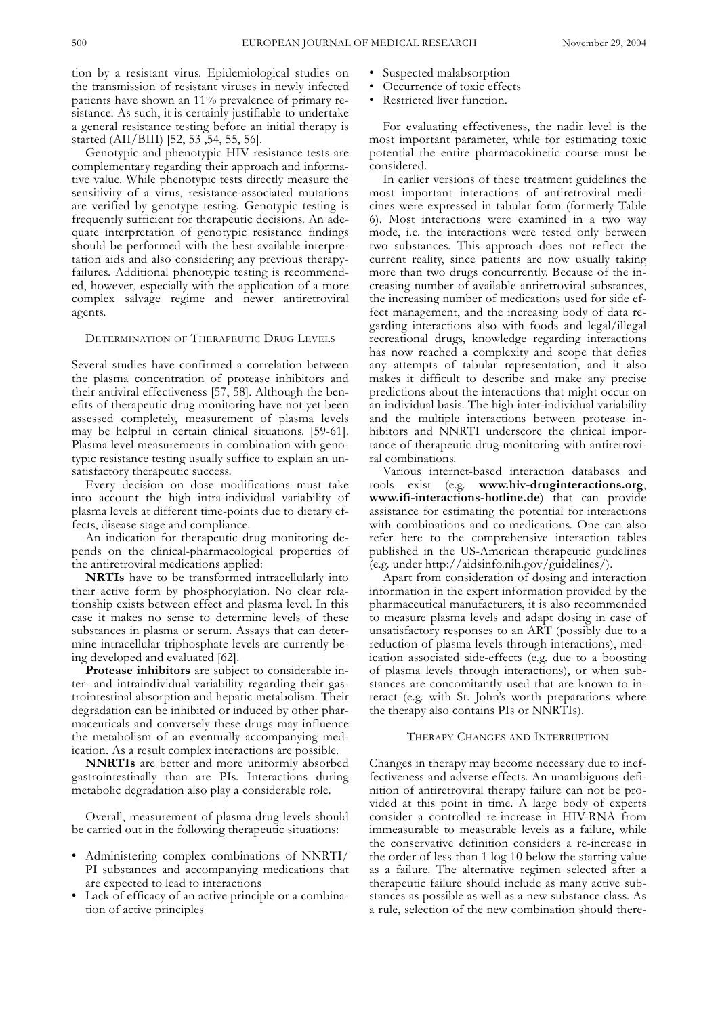tion by a resistant virus. Epidemiological studies on the transmission of resistant viruses in newly infected patients have shown an 11% prevalence of primary resistance. As such, it is certainly justifiable to undertake a general resistance testing before an initial therapy is started (AII/BIII) [52, 53 ,54, 55, 56].

Genotypic and phenotypic HIV resistance tests are complementary regarding their approach and informative value. While phenotypic tests directly measure the sensitivity of a virus, resistance-associated mutations are verified by genotype testing. Genotypic testing is frequently sufficient for therapeutic decisions. An adequate interpretation of genotypic resistance findings should be performed with the best available interpretation aids and also considering any previous therapyfailures. Additional phenotypic testing is recommended, however, especially with the application of a more complex salvage regime and newer antiretroviral agents.

# DETERMINATION OF THERAPEUTIC DRUG LEVELS

Several studies have confirmed a correlation between the plasma concentration of protease inhibitors and their antiviral effectiveness [57, 58]. Although the benefits of therapeutic drug monitoring have not yet been assessed completely, measurement of plasma levels may be helpful in certain clinical situations. [59-61]. Plasma level measurements in combination with genotypic resistance testing usually suffice to explain an unsatisfactory therapeutic success.

Every decision on dose modifications must take into account the high intra-individual variability of plasma levels at different time-points due to dietary effects, disease stage and compliance.

An indication for therapeutic drug monitoring depends on the clinical-pharmacological properties of the antiretroviral medications applied:

**NRTIs** have to be transformed intracellularly into their active form by phosphorylation. No clear relationship exists between effect and plasma level. In this case it makes no sense to determine levels of these substances in plasma or serum. Assays that can determine intracellular triphosphate levels are currently being developed and evaluated [62].

**Protease inhibitors** are subject to considerable inter- and intraindividual variability regarding their gastrointestinal absorption and hepatic metabolism. Their degradation can be inhibited or induced by other pharmaceuticals and conversely these drugs may influence the metabolism of an eventually accompanying medication. As a result complex interactions are possible.

**NNRTIs** are better and more uniformly absorbed gastrointestinally than are PIs. Interactions during metabolic degradation also play a considerable role.

Overall, measurement of plasma drug levels should be carried out in the following therapeutic situations:

- Administering complex combinations of NNRTI/ PI substances and accompanying medications that are expected to lead to interactions
- Lack of efficacy of an active principle or a combination of active principles
- Suspected malabsorption
- Occurrence of toxic effects
- Restricted liver function.

For evaluating effectiveness, the nadir level is the most important parameter, while for estimating toxic potential the entire pharmacokinetic course must be considered.

In earlier versions of these treatment guidelines the most important interactions of antiretroviral medicines were expressed in tabular form (formerly Table 6). Most interactions were examined in a two way mode, i.e. the interactions were tested only between two substances. This approach does not reflect the current reality, since patients are now usually taking more than two drugs concurrently. Because of the increasing number of available antiretroviral substances, the increasing number of medications used for side effect management, and the increasing body of data regarding interactions also with foods and legal/illegal recreational drugs, knowledge regarding interactions has now reached a complexity and scope that defies any attempts of tabular representation, and it also makes it difficult to describe and make any precise predictions about the interactions that might occur on an individual basis. The high inter-individual variability and the multiple interactions between protease inhibitors and NNRTI underscore the clinical importance of therapeutic drug-monitoring with antiretroviral combinations.

Various internet-based interaction databases and tools exist (e.g. **www.hiv-druginteractions.org**, **www.ifi-interactions-hotline.de**) that can provide assistance for estimating the potential for interactions with combinations and co-medications. One can also refer here to the comprehensive interaction tables published in the US-American therapeutic guidelines (e.g. under http://aidsinfo.nih.gov/guidelines/).

Apart from consideration of dosing and interaction information in the expert information provided by the pharmaceutical manufacturers, it is also recommended to measure plasma levels and adapt dosing in case of unsatisfactory responses to an ART (possibly due to a reduction of plasma levels through interactions), medication associated side-effects (e.g. due to a boosting of plasma levels through interactions), or when substances are concomitantly used that are known to interact (e.g. with St. John's worth preparations where the therapy also contains PIs or NNRTIs).

## THERAPY CHANGES AND INTERRUPTION

Changes in therapy may become necessary due to ineffectiveness and adverse effects. An unambiguous definition of antiretroviral therapy failure can not be provided at this point in time. A large body of experts consider a controlled re-increase in HIV-RNA from immeasurable to measurable levels as a failure, while the conservative definition considers a re-increase in the order of less than 1 log 10 below the starting value as a failure. The alternative regimen selected after a therapeutic failure should include as many active substances as possible as well as a new substance class. As a rule, selection of the new combination should there-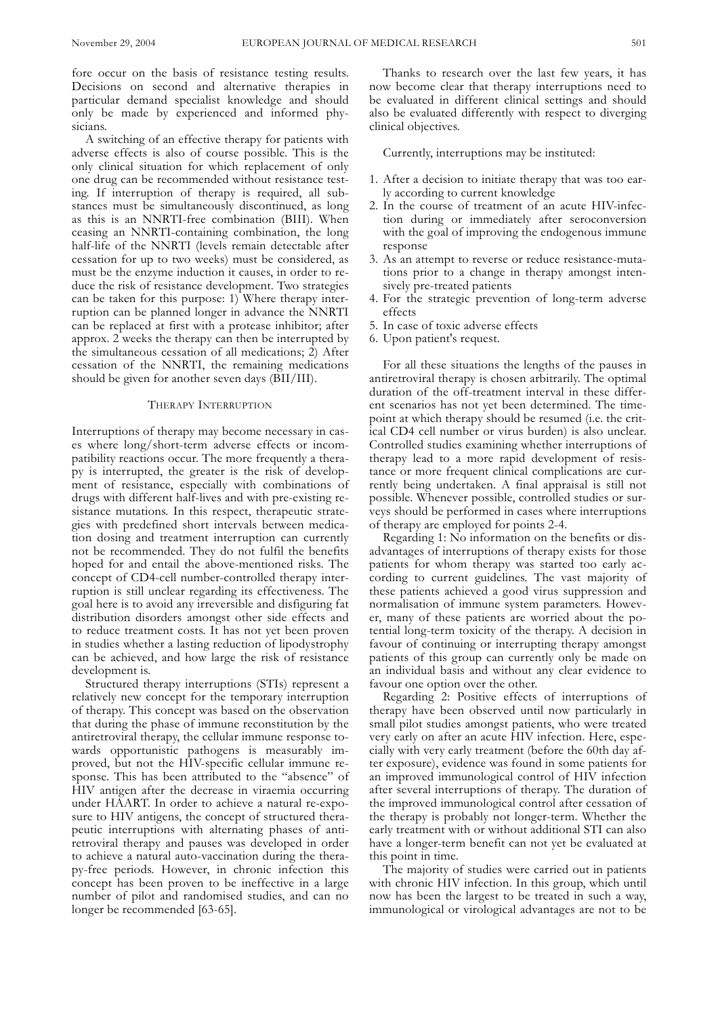fore occur on the basis of resistance testing results. Decisions on second and alternative therapies in particular demand specialist knowledge and should only be made by experienced and informed physicians.

A switching of an effective therapy for patients with adverse effects is also of course possible. This is the only clinical situation for which replacement of only one drug can be recommended without resistance testing. If interruption of therapy is required, all substances must be simultaneously discontinued, as long as this is an NNRTI-free combination (BIII). When ceasing an NNRTI-containing combination, the long half-life of the NNRTI (levels remain detectable after cessation for up to two weeks) must be considered, as must be the enzyme induction it causes, in order to reduce the risk of resistance development. Two strategies can be taken for this purpose: 1) Where therapy interruption can be planned longer in advance the NNRTI can be replaced at first with a protease inhibitor; after approx. 2 weeks the therapy can then be interrupted by the simultaneous cessation of all medications; 2) After cessation of the NNRTI, the remaining medications should be given for another seven days (BII/III).

### THERAPY INTERRUPTION

Interruptions of therapy may become necessary in cases where long/short-term adverse effects or incompatibility reactions occur. The more frequently a therapy is interrupted, the greater is the risk of development of resistance, especially with combinations of drugs with different half-lives and with pre-existing resistance mutations. In this respect, therapeutic strategies with predefined short intervals between medication dosing and treatment interruption can currently not be recommended. They do not fulfil the benefits hoped for and entail the above-mentioned risks. The concept of CD4-cell number-controlled therapy interruption is still unclear regarding its effectiveness. The goal here is to avoid any irreversible and disfiguring fat distribution disorders amongst other side effects and to reduce treatment costs. It has not yet been proven in studies whether a lasting reduction of lipodystrophy can be achieved, and how large the risk of resistance development is.

Structured therapy interruptions (STIs) represent a relatively new concept for the temporary interruption of therapy. This concept was based on the observation that during the phase of immune reconstitution by the antiretroviral therapy, the cellular immune response towards opportunistic pathogens is measurably improved, but not the HIV-specific cellular immune response. This has been attributed to the "absence" of HIV antigen after the decrease in viraemia occurring under HAART. In order to achieve a natural re-exposure to HIV antigens, the concept of structured therapeutic interruptions with alternating phases of antiretroviral therapy and pauses was developed in order to achieve a natural auto-vaccination during the therapy-free periods. However, in chronic infection this concept has been proven to be ineffective in a large number of pilot and randomised studies, and can no longer be recommended [63-65].

Thanks to research over the last few years, it has now become clear that therapy interruptions need to be evaluated in different clinical settings and should also be evaluated differently with respect to diverging clinical objectives.

Currently, interruptions may be instituted:

- 1. After a decision to initiate therapy that was too early according to current knowledge
- 2. In the course of treatment of an acute HIV-infection during or immediately after seroconversion with the goal of improving the endogenous immune response
- 3. As an attempt to reverse or reduce resistance-mutations prior to a change in therapy amongst intensively pre-treated patients
- 4. For the strategic prevention of long-term adverse effects
- 5. In case of toxic adverse effects
- 6. Upon patient's request.

For all these situations the lengths of the pauses in antiretroviral therapy is chosen arbitrarily. The optimal duration of the off-treatment interval in these different scenarios has not yet been determined. The timepoint at which therapy should be resumed (i.e. the critical CD4 cell number or virus burden) is also unclear. Controlled studies examining whether interruptions of therapy lead to a more rapid development of resistance or more frequent clinical complications are currently being undertaken. A final appraisal is still not possible. Whenever possible, controlled studies or surveys should be performed in cases where interruptions of therapy are employed for points 2-4.

Regarding 1: No information on the benefits or disadvantages of interruptions of therapy exists for those patients for whom therapy was started too early according to current guidelines. The vast majority of these patients achieved a good virus suppression and normalisation of immune system parameters. However, many of these patients are worried about the potential long-term toxicity of the therapy. A decision in favour of continuing or interrupting therapy amongst patients of this group can currently only be made on an individual basis and without any clear evidence to favour one option over the other.

Regarding 2: Positive effects of interruptions of therapy have been observed until now particularly in small pilot studies amongst patients, who were treated very early on after an acute HIV infection. Here, especially with very early treatment (before the 60th day after exposure), evidence was found in some patients for an improved immunological control of HIV infection after several interruptions of therapy. The duration of the improved immunological control after cessation of the therapy is probably not longer-term. Whether the early treatment with or without additional STI can also have a longer-term benefit can not yet be evaluated at this point in time.

The majority of studies were carried out in patients with chronic HIV infection. In this group, which until now has been the largest to be treated in such a way, immunological or virological advantages are not to be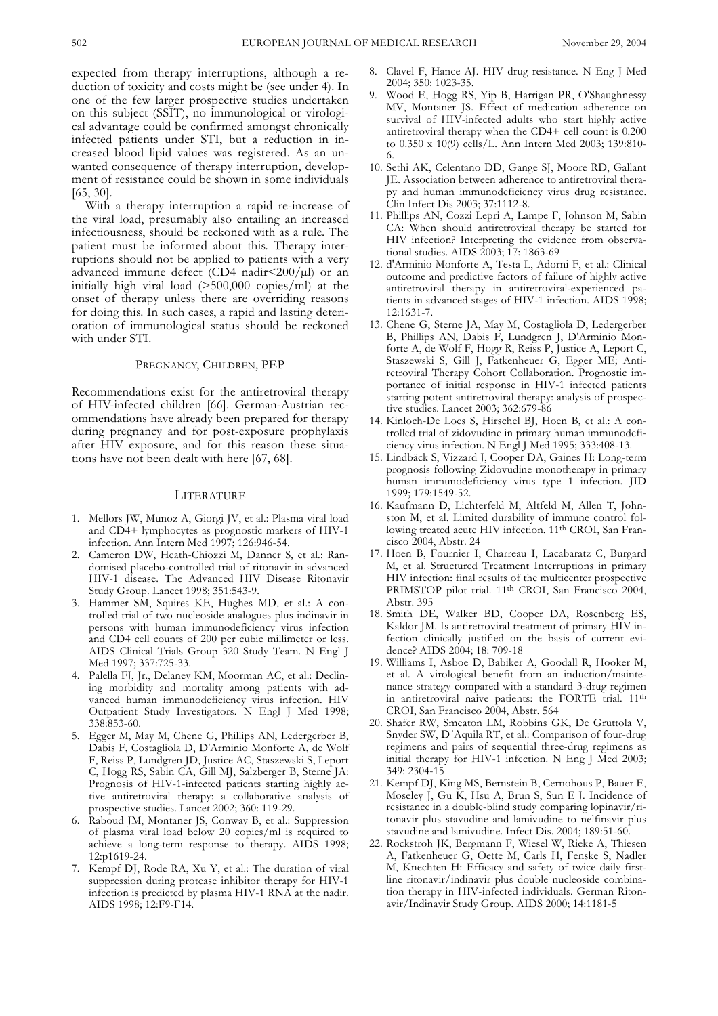expected from therapy interruptions, although a reduction of toxicity and costs might be (see under 4). In one of the few larger prospective studies undertaken on this subject (SSIT), no immunological or virological advantage could be confirmed amongst chronically infected patients under STI, but a reduction in increased blood lipid values was registered. As an unwanted consequence of therapy interruption, development of resistance could be shown in some individuals [65, 30].

With a therapy interruption a rapid re-increase of the viral load, presumably also entailing an increased infectiousness, should be reckoned with as a rule. The patient must be informed about this. Therapy interruptions should not be applied to patients with a very advanced immune defect (CD4 nadir<200/µl) or an initially high viral load (>500,000 copies/ml) at the onset of therapy unless there are overriding reasons for doing this. In such cases, a rapid and lasting deterioration of immunological status should be reckoned with under STI.

## PREGNANCY, CHILDREN, PEP

Recommendations exist for the antiretroviral therapy of HIV-infected children [66]. German-Austrian recommendations have already been prepared for therapy during pregnancy and for post-exposure prophylaxis after HIV exposure, and for this reason these situations have not been dealt with here [67, 68].

# LITERATURE

- 1. Mellors JW, Munoz A, Giorgi JV, et al.: Plasma viral load and CD4+ lymphocytes as prognostic markers of HIV-1 infection. Ann Intern Med 1997; 126:946-54.
- Cameron DW, Heath-Chiozzi M, Danner S, et al.: Randomised placebo-controlled trial of ritonavir in advanced HIV-1 disease. The Advanced HIV Disease Ritonavir Study Group. Lancet 1998; 351:543-9.
- 3. Hammer SM, Squires KE, Hughes MD, et al.: A controlled trial of two nucleoside analogues plus indinavir in persons with human immunodeficiency virus infection and CD4 cell counts of 200 per cubic millimeter or less. AIDS Clinical Trials Group 320 Study Team. N Engl J Med 1997; 337:725-33.
- 4. Palella FJ, Jr., Delaney KM, Moorman AC, et al.: Declining morbidity and mortality among patients with advanced human immunodeficiency virus infection. HIV Outpatient Study Investigators. N Engl J Med 1998; 338:853-60.
- 5. Egger M, May M, Chene G, Phillips AN, Ledergerber B, Dabis F, Costagliola D, D'Arminio Monforte A, de Wolf F, Reiss P, Lundgren JD, Justice AC, Staszewski S, Leport C, Hogg RS, Sabin CA, Gill MJ, Salzberger B, Sterne JA: Prognosis of HIV-1-infected patients starting highly active antiretroviral therapy: a collaborative analysis of prospective studies. Lancet 2002; 360: 119-29.
- 6. Raboud JM, Montaner JS, Conway B, et al.: Suppression of plasma viral load below 20 copies/ml is required to achieve a long-term response to therapy. AIDS 1998; 12:p1619-24.
- 7. Kempf DJ, Rode RA, Xu Y, et al.: The duration of viral suppression during protease inhibitor therapy for HIV-1 infection is predicted by plasma HIV-1 RNA at the nadir. AIDS 1998; 12:F9-F14.
- 8. Clavel F, Hance AJ. HIV drug resistance. N Eng J Med 2004; 350: 1023-35.
- 9. Wood E, Hogg RS, Yip B, Harrigan PR, O'Shaughnessy MV, Montaner JS. Effect of medication adherence on survival of HIV-infected adults who start highly active antiretroviral therapy when the CD4+ cell count is 0.200 to 0.350 x 10(9) cells/L. Ann Intern Med 2003; 139:810- 6.
- 10. Sethi AK, Celentano DD, Gange SJ, Moore RD, Gallant JE. Association between adherence to antiretroviral therapy and human immunodeficiency virus drug resistance. Clin Infect Dis 2003; 37:1112-8.
- 11. Phillips AN, Cozzi Lepri A, Lampe F, Johnson M, Sabin CA: When should antiretroviral therapy be started for HIV infection? Interpreting the evidence from observational studies. AIDS 2003; 17: 1863-69
- 12. d'Arminio Monforte A, Testa L, Adorni F, et al.: Clinical outcome and predictive factors of failure of highly active antiretroviral therapy in antiretroviral-experienced patients in advanced stages of HIV-1 infection. AIDS 1998; 12:1631-7.
- 13. Chene G, Sterne JA, May M, Costagliola D, Ledergerber B, Phillips AN, Dabis F, Lundgren J, D'Arminio Monforte A, de Wolf F, Hogg R, Reiss P, Justice A, Leport C, Staszewski S, Gill J, Fatkenheuer G, Egger ME; Antiretroviral Therapy Cohort Collaboration. Prognostic importance of initial response in HIV-1 infected patients starting potent antiretroviral therapy: analysis of prospective studies. Lancet 2003; 362:679-86
- 14. Kinloch-De Loes S, Hirschel BJ, Hoen B, et al.: A controlled trial of zidovudine in primary human immunodeficiency virus infection. N Engl J Med 1995; 333:408-13.
- 15. Lindbäck S, Vizzard J, Cooper DA, Gaines H: Long-term prognosis following Zidovudine monotherapy in primary human immunodeficiency virus type 1 infection. JID 1999; 179:1549-52.
- 16. Kaufmann D, Lichterfeld M, Altfeld M, Allen T, Johnston M, et al. Limited durability of immune control following treated acute HIV infection. 11<sup>th</sup> CROI, San Francisco 2004, Abstr. 24
- 17. Hoen B, Fournier I, Charreau I, Lacabaratz C, Burgard M, et al. Structured Treatment Interruptions in primary HIV infection: final results of the multicenter prospective PRIMSTOP pilot trial. 11th CROI, San Francisco 2004, Abstr. 395
- 18. Smith DE, Walker BD, Cooper DA, Rosenberg ES, Kaldor JM. Is antiretroviral treatment of primary HIV infection clinically justified on the basis of current evidence? AIDS 2004; 18: 709-18
- 19. Williams I, Asboe D, Babiker A, Goodall R, Hooker M, et al. A virological benefit from an induction/maintenance strategy compared with a standard 3-drug regimen in antiretroviral naive patients: the FORTE trial. 11th CROI, San Francisco 2004, Abstr. 564
- 20. Shafer RW, Smeaton LM, Robbins GK, De Gruttola V, Snyder SW, D´Aquila RT, et al.: Comparison of four-drug regimens and pairs of sequential three-drug regimens as initial therapy for HIV-1 infection. N Eng J Med 2003; 349: 2304-15
- 21. Kempf DJ, King MS, Bernstein B, Cernohous P, Bauer E, Moseley J, Gu K, Hsu A, Brun S, Sun E J. Incidence of resistance in a double-blind study comparing lopinavir/ritonavir plus stavudine and lamivudine to nelfinavir plus stavudine and lamivudine. Infect Dis. 2004; 189:51-60.
- 22. Rockstroh JK, Bergmann F, Wiesel W, Rieke A, Thiesen A, Fatkenheuer G, Oette M, Carls H, Fenske S, Nadler M, Knechten H: Efficacy and safety of twice daily firstline ritonavir/indinavir plus double nucleoside combination therapy in HIV-infected individuals. German Ritonavir/Indinavir Study Group. AIDS 2000; 14:1181-5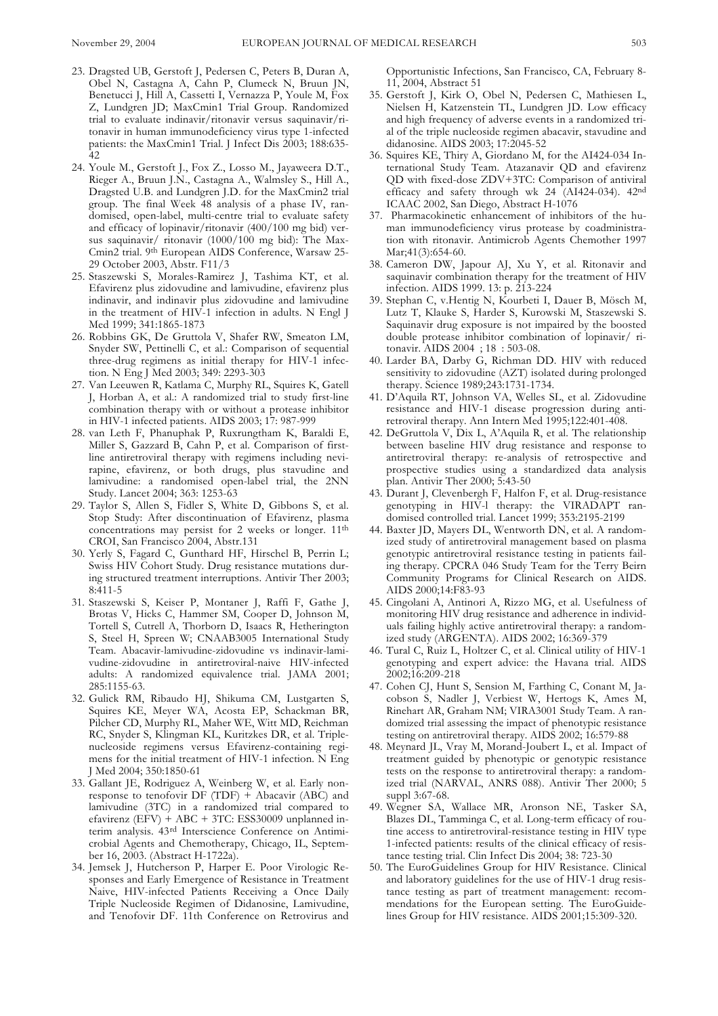- 23. Dragsted UB, Gerstoft J, Pedersen C, Peters B, Duran A, Obel N, Castagna A, Cahn P, Clumeck N, Bruun JN, Benetucci J, Hill A, Cassetti I, Vernazza P, Youle M, Fox Z, Lundgren JD; MaxCmin1 Trial Group. Randomized trial to evaluate indinavir/ritonavir versus saquinavir/ritonavir in human immunodeficiency virus type 1-infected patients: the MaxCmin1 Trial. J Infect Dis 2003; 188:635- 42
- 24. Youle M., Gerstoft J., Fox Z., Losso M., Jayaweera D.T., Rieger A., Bruun J.N., Castagna A., Walmsley S., Hill A., Dragsted U.B. and Lundgren J.D. for the MaxCmin2 trial group. The final Week 48 analysis of a phase IV, randomised, open-label, multi-centre trial to evaluate safety and efficacy of lopinavir/ritonavir (400/100 mg bid) versus saquinavir/ ritonavir (1000/100 mg bid): The Max-Cmin2 trial. 9th European AIDS Conference, Warsaw 25- 29 October 2003, Abstr. F11/3
- 25. Staszewski S, Morales-Ramirez J, Tashima KT, et al. Efavirenz plus zidovudine and lamivudine, efavirenz plus indinavir, and indinavir plus zidovudine and lamivudine in the treatment of HIV-1 infection in adults. N Engl J Med 1999; 341:1865-1873
- 26. Robbins GK, De Gruttola V, Shafer RW, Smeaton LM, Snyder SW, Pettinelli C, et al.: Comparison of sequential three-drug regimens as initial therapy for HIV-1 infection. N Eng J Med 2003; 349: 2293-303
- 27. Van Leeuwen R, Katlama C, Murphy RL, Squires K, Gatell J, Horban A, et al.: A randomized trial to study first-line combination therapy with or without a protease inhibitor in HIV-1 infected patients. AIDS 2003; 17: 987-999
- 28. van Leth F, Phanuphak P, Ruxrungtham K, Baraldi E, Miller S, Gazzard B, Cahn P, et al. Comparison of firstline antiretroviral therapy with regimens including nevirapine, efavirenz, or both drugs, plus stavudine and lamivudine: a randomised open-label trial, the 2NN Study. Lancet 2004; 363: 1253-63
- 29. Taylor S, Allen S, Fidler S, White D, Gibbons S, et al. Stop Study: After discontinuation of Efavirenz, plasma concentrations may persist for 2 weeks or longer. 11th CROI, San Francisco 2004, Abstr.131
- 30. Yerly S, Fagard C, Gunthard HF, Hirschel B, Perrin L; Swiss HIV Cohort Study. Drug resistance mutations during structured treatment interruptions. Antivir Ther 2003; 8:411-5
- 31. Staszewski S, Keiser P, Montaner J, Raffi F, Gathe J, Brotas V, Hicks C, Hammer SM, Cooper D, Johnson M, Tortell S, Cutrell A, Thorborn D, Isaacs R, Hetherington S, Steel H, Spreen W; CNAAB3005 International Study Team. Abacavir-lamivudine-zidovudine vs indinavir-lamivudine-zidovudine in antiretroviral-naive HIV-infected adults: A randomized equivalence trial. JAMA 2001; 285:1155-63.
- 32. Gulick RM, Ribaudo HJ, Shikuma CM, Lustgarten S, Squires KE, Meyer WA, Acosta EP, Schackman BR, Pilcher CD, Murphy RL, Maher WE, Witt MD, Reichman RC, Snyder S, Klingman KL, Kuritzkes DR, et al. Triplenucleoside regimens versus Efavirenz-containing regimens for the initial treatment of HIV-1 infection. N Eng J Med 2004; 350:1850-61
- 33. Gallant JE, Rodriguez A, Weinberg W, et al. Early nonresponse to tenofovir  $DF (TDF) + Abacavir (ABC)$  and lamivudine (3TC) in a randomized trial compared to efavirenz (EFV) + ABC + 3TC: ESS30009 unplanned interim analysis. 43<sup>rd</sup> Interscience Conference on Antimicrobial Agents and Chemotherapy, Chicago, IL, September 16, 2003. (Abstract H-1722a).
- 34. Jemsek J, Hutcherson P, Harper E. Poor Virologic Responses and Early Emergence of Resistance in Treatment Naive, HIV-infected Patients Receiving a Once Daily Triple Nucleoside Regimen of Didanosine, Lamivudine, and Tenofovir DF. 11th Conference on Retrovirus and

Opportunistic Infections, San Francisco, CA, February 8- 11, 2004, Abstract 51

- 35. Gerstoft J, Kirk O, Obel N, Pedersen C, Mathiesen L, Nielsen H, Katzenstein TL, Lundgren JD. Low efficacy and high frequency of adverse events in a randomized trial of the triple nucleoside regimen abacavir, stavudine and didanosine. AIDS 2003; 17:2045-52
- 36. Squires KE, Thiry A, Giordano M, for the AI424-034 International Study Team. Atazanavir QD and efavirenz QD with fixed-dose ZDV+3TC: Comparison of antiviral efficacy and safety through wk 24 (AI424-034). 42nd ICAAC 2002, San Diego, Abstract H-1076
- 37. Pharmacokinetic enhancement of inhibitors of the human immunodeficiency virus protease by coadministration with ritonavir. Antimicrob Agents Chemother 1997 Mar;41(3):654-60.
- 38. Cameron DW, Japour AJ, Xu Y, et al. Ritonavir and saquinavir combination therapy for the treatment of HIV infection. AIDS 1999. 13: p. 213-224
- 39. Stephan C, v.Hentig N, Kourbeti I, Dauer B, Mösch M, Lutz T, Klauke S, Harder S, Kurowski M, Staszewski S. Saquinavir drug exposure is not impaired by the boosted double protease inhibitor combination of lopinavir/ ritonavir. AIDS 2004 ; 18 : 503-08.
- 40. Larder BA, Darby G, Richman DD. HIV with reduced sensitivity to zidovudine (AZT) isolated during prolonged therapy. Science 1989;243:1731-1734.
- 41. D'Aquila RT, Johnson VA, Welles SL, et al. Zidovudine resistance and HIV-1 disease progression during antiretroviral therapy. Ann Intern Med 1995;122:401-408.
- 42. DeGruttola V, Dix L, A'Aquila R, et al. The relationship between baseline HIV drug resistance and response to antiretroviral therapy: re-analysis of retrospective and prospective studies using a standardized data analysis plan. Antivir Ther 2000; 5:43-50
- 43. Durant J, Clevenbergh F, Halfon F, et al. Drug-resistance genotyping in HIV-l therapy: the VIRADAPT randomised controlled trial. Lancet 1999; 353:2195-2199
- 44. Baxter JD, Mayers DL, Wentworth DN, et al. A randomized study of antiretroviral management based on plasma genotypic antiretroviral resistance testing in patients failing therapy. CPCRA 046 Study Team for the Terry Beirn Community Programs for Clinical Research on AIDS. AIDS 2000;14:F83-93
- 45. Cingolani A, Antinori A, Rizzo MG, et al. Usefulness of monitoring HIV drug resistance and adherence in individuals failing highly active antiretroviral therapy: a randomized study (ARGENTA). AIDS 2002; 16:369-379
- 46. Tural C, Ruiz L, Holtzer C, et al. Clinical utility of HIV-1 genotyping and expert advice: the Havana trial. AIDS 2002;16:209-218
- 47. Cohen CJ, Hunt S, Sension M, Farthing C, Conant M, Jacobson S, Nadler J, Verbiest W, Hertogs K, Ames M, Rinehart AR, Graham NM; VIRA3001 Study Team. A randomized trial assessing the impact of phenotypic resistance testing on antiretroviral therapy. AIDS 2002; 16:579-88
- 48. Meynard JL, Vray M, Morand-Joubert L, et al. Impact of treatment guided by phenotypic or genotypic resistance tests on the response to antiretroviral therapy: a randomized trial (NARVAL, ANRS 088). Antivir Ther 2000; 5 suppl 3:67-68.
- 49. Wegner SA, Wallace MR, Aronson NE, Tasker SA, Blazes DL, Tamminga C, et al. Long-term efficacy of routine access to antiretroviral-resistance testing in HIV type 1-infected patients: results of the clinical efficacy of resistance testing trial. Clin Infect Dis 2004; 38: 723-30
- 50. The EuroGuidelines Group for HIV Resistance. Clinical and laboratory guidelines for the use of HIV-1 drug resistance testing as part of treatment management: recommendations for the European setting. The EuroGuidelines Group for HIV resistance. AIDS 2001;15:309-320.